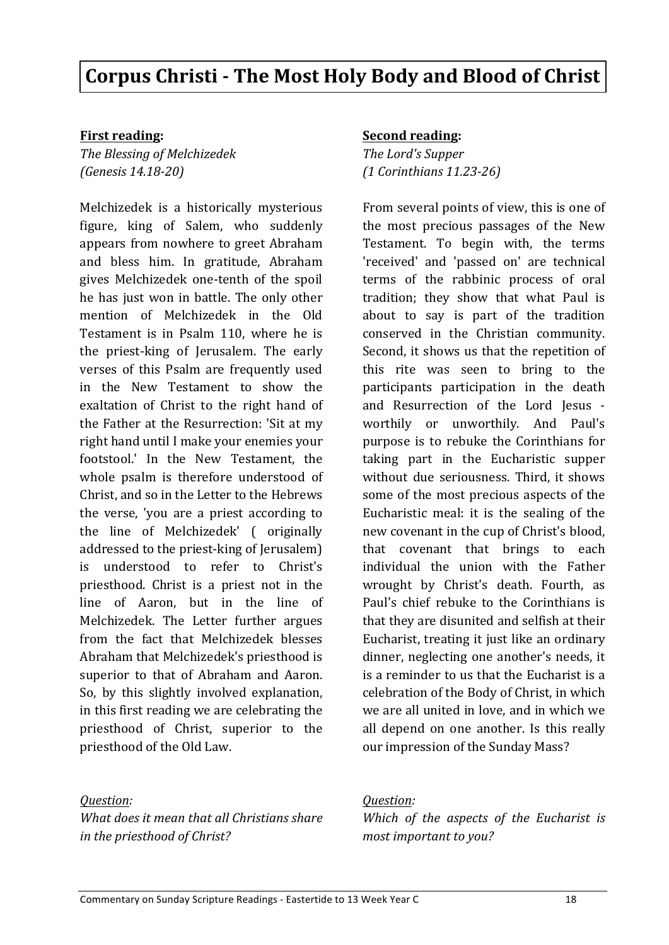# **Corpus Christi - The Most Holy Body and Blood of Christ**

### **First reading:**

*The Blessing of Melchizedek (Genesis 14.18-20)* 

Melchizedek is a historically mysterious figure, king of Salem, who suddenly appears from nowhere to greet Abraham and bless him. In gratitude, Abraham gives Melchizedek one-tenth of the spoil he has just won in battle. The only other mention of Melchizedek in the Old Testament is in Psalm 110, where he is the priest-king of Jerusalem. The early verses of this Psalm are frequently used in the New Testament to show the exaltation of Christ to the right hand of the Father at the Resurrection: 'Sit at my right hand until I make your enemies your footstool.' In the New Testament, the whole psalm is therefore understood of Christ, and so in the Letter to the Hebrews the verse, 'you are a priest according to the line of Melchizedek' ( originally addressed to the priest-king of Jerusalem) is understood to refer to Christ's priesthood. Christ is a priest not in the line of Aaron, but in the line of Melchizedek. The Letter further argues from the fact that Melchizedek blesses Abraham that Melchizedek's priesthood is superior to that of Abraham and Aaron. So, by this slightly involved explanation, in this first reading we are celebrating the priesthood of Christ, superior to the priesthood of the Old Law.

#### *Question:*

*What does it mean that all Christians share* in the priesthood of Christ?

#### **Second reading:**

**The Lord's Supper** *(1 Corinthians 11.23-26)* 

From several points of view, this is one of the most precious passages of the New Testament. To begin with, the terms 'received' and 'passed on' are technical terms of the rabbinic process of oral tradition; they show that what Paul is about to say is part of the tradition conserved in the Christian community. Second, it shows us that the repetition of this rite was seen to bring to the participants participation in the death and Resurrection of the Lord Jesus worthily or unworthily. And Paul's purpose is to rebuke the Corinthians for taking part in the Eucharistic supper without due seriousness. Third, it shows some of the most precious aspects of the Eucharistic meal: it is the sealing of the new covenant in the cup of Christ's blood, that covenant that brings to each individual the union with the Father wrought by Christ's death. Fourth, as Paul's chief rebuke to the Corinthians is that they are disunited and selfish at their Eucharist, treating it just like an ordinary dinner, neglecting one another's needs, it is a reminder to us that the Eucharist is a celebration of the Body of Christ, in which we are all united in love, and in which we all depend on one another. Is this really our impression of the Sunday Mass?

#### *Question:*

*Which of the aspects of the Eucharist is most important to you?*